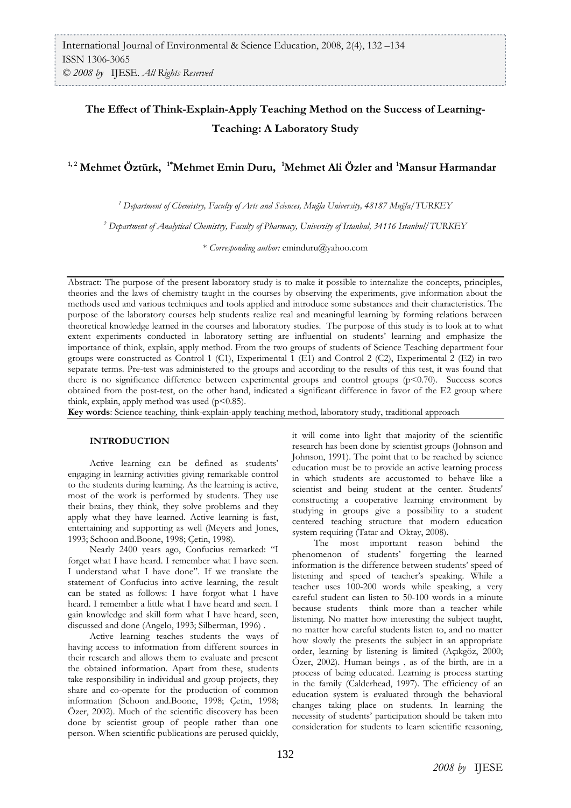# **The Effect of Think-Explain-Apply Teaching Method on the Success of Learning-Teaching: A Laboratory Study**

**1, 2 Mehmet Öztürk, 1\*Mehmet Emin Duru, <sup>1</sup>Mehmet Ali Özler and<sup>1</sup>Mansur Harmandar**

*<sup>1</sup> Department of Chemistry, Faculty of Arts and Sciences, Muğla University, 48187 Muğla/TURKEY*

*<sup>2</sup> Department of Analytical Chemistry, Faculty of Pharmacy, University of Istanbul, 34116 Istanbul/TURKEY*

\* *Corresponding author:* [eminduru@yahoo.com](mailto:eminduru@yahoo.com)

Abstract: The purpose of the present laboratory study is to make it possible to internalize the concepts, principles, theories and the laws of chemistry taught in the courses by observing the experiments, give information about the methods used and various techniques and tools applied and introduce some substances and their characteristics. The purpose of the laboratory courses help students realize real and meaningful learning by forming relations between theoretical knowledge learned in the courses and laboratory studies. The purpose of this study is to look at to what extent experiments conducted in laboratory setting are influential on students' learning and emphasize the importance of think, explain, apply method. From the two groups of students of Science Teaching department four groups were constructed as Control 1 (C1), Experimental 1 (E1) and Control 2 (C2), Experimental 2 (E2) in two separate terms. Pre-test was administered to the groups and according to the results of this test, it was found that there is no significance difference between experimental groups and control groups (p<0.70). Success scores obtained from the post-test, on the other hand, indicated a significant difference in favor of the E2 group where think, explain, apply method was used  $(p<0.85)$ .

**Key words**: Science teaching, think-explain-apply teaching method, laboratory study, traditional approach

#### **INTRODUCTION**

Active learning can be defined as students' engaging in learning activities giving remarkable control to the students during learning. As the learning is active, most of the work is performed by students. They use their brains, they think, they solve problems and they apply what they have learned. Active learning is fast, entertaining and supporting as well (Meyers and Jones, 1993; Schoon and.Boone, 1998; Çetin, 1998)*.*

Nearly 2400 years ago, Confucius remarked: "I forget what I have heard. I remember what I have seen. I understand what I have done". If we translate the statement of Confucius into active learning, the result can be stated as follows: I have forgot what I have heard. I remember a little what I have heard and seen. I gain knowledge and skill form what I have heard, seen, discussed and done (Angelo, 1993; Silberman, 1996) .

Active learning teaches students the ways of having access to information from different sources in their research and allows them to evaluate and present the obtained information. Apart from these, students take responsibility in individual and group projects, they share and co-operate for the production of common information (Schoon and.Boone, 1998; Çetin, 1998; Özer, 2002). Much of the scientific discovery has been done by scientist group of people rather than one person. When scientific publications are perused quickly,

it will come into light that majority of the scientific research has been done by scientist groups (Johnson and Johnson, 1991). The point that to be reached by science education must be to provide an active learning process in which students are accustomed to behave like a scientist and being student at the center. Students' constructing a cooperative learning environment by studying in groups give a possibility to a student centered teaching structure that modern education system requiring (Tatar and Oktay, 2008).

The most important reason behind the phenomenon of students' forgetting the learned information is the difference between students' speed of listening and speed of teacher's speaking. While a teacher uses 100-200 words while speaking, a very careful student can listen to 50-100 words in a minute because students think more than a teacher while listening. No matter how interesting the subject taught, no matter how careful students listen to, and no matter how slowly the presents the subject in an appropriate order, learning by listening is limited (Açıkgöz, 2000; Özer, 2002). Human beings , as of the birth, are in a process of being educated. Learning is process starting in the family (Calderhead, 1997). The efficiency of an education system is evaluated through the behavioral changes taking place on students. In learning the necessity of students' participation should be taken into consideration for students to learn scientific reasoning,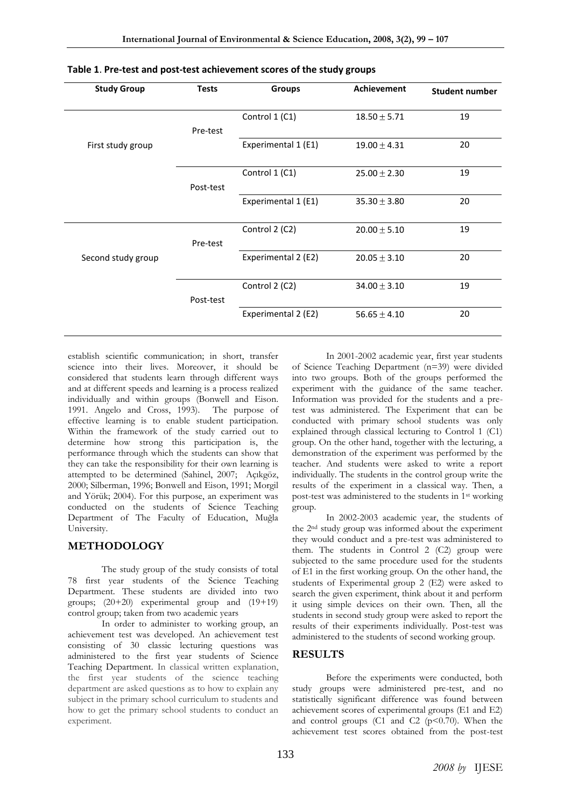| <b>Study Group</b> | <b>Tests</b> | <b>Groups</b>       | <b>Achievement</b> | <b>Student number</b> |
|--------------------|--------------|---------------------|--------------------|-----------------------|
|                    | Pre-test     | Control 1 (C1)      | $18.50 \pm 5.71$   | 19                    |
| First study group  |              | Experimental 1 (E1) | $19.00 \pm 4.31$   | 20                    |
|                    | Post-test    | Control 1 (C1)      | $25.00 \pm 2.30$   | 19                    |
|                    |              | Experimental 1 (E1) | $35.30 \pm 3.80$   | 20                    |
|                    | Pre-test     | Control 2 (C2)      | $20.00 \pm 5.10$   | 19                    |
| Second study group |              | Experimental 2 (E2) | $20.05 \pm 3.10$   | 20                    |
|                    | Post-test    | Control 2 (C2)      | $34.00 \pm 3.10$   | 19                    |
|                    |              | Experimental 2 (E2) | $56.65 \pm 4.10$   | 20                    |

establish scientific communication; in short, transfer science into their lives. Moreover, it should be considered that students learn through different ways and at different speeds and learning is a process realized individually and within groups (Bonwell and Eison. 1991. Angelo and Cross, 1993). The purpose of effective learning is to enable student participation. Within the framework of the study carried out to determine how strong this participation is, the performance through which the students can show that they can take the responsibility for their own learning is attempted to be determined (Sahinel, 2007; Açıkgöz, 2000; Silberman, 1996; Bonwell and Eison, 1991; Morgil and Yörük; 2004). For this purpose, an experiment was conducted on the students of Science Teaching Department of The Faculty of Education, Muğla University.

### **METHODOLOGY**

The study group of the study consists of total 78 first year students of the Science Teaching Department. These students are divided into two groups;  $(20+20)$  experimental group and  $(19+19)$ control group; taken from two academic years

In order to administer to working group, an achievement test was developed. An achievement test consisting of 30 classic lecturing questions was administered to the first year students of Science Teaching Department. In classical written explanation, the first year students of the science teaching department are asked questions as to how to explain any subject in the primary school curriculum to students and how to get the primary school students to conduct an experiment.

In 2001-2002 academic year, first year students of Science Teaching Department (n=39) were divided into two groups. Both of the groups performed the experiment with the guidance of the same teacher. Information was provided for the students and a pretest was administered. The Experiment that can be conducted with primary school students was only explained through classical lecturing to Control 1 (C1) group. On the other hand, together with the lecturing, a demonstration of the experiment was performed by the teacher. And students were asked to write a report individually. The students in the control group write the results of the experiment in a classical way. Then, a post-test was administered to the students in 1st working group.

In 2002-2003 academic year, the students of the 2nd study group was informed about the experiment they would conduct and a pre-test was administered to them. The students in Control 2 (C2) group were subjected to the same procedure used for the students of E1 in the first working group. On the other hand, the students of Experimental group 2 (E2) were asked to search the given experiment, think about it and perform it using simple devices on their own. Then, all the students in second study group were asked to report the results of their experiments individually. Post-test was administered to the students of second working group.

### **RESULTS**

Before the experiments were conducted, both study groups were administered pre-test, and no statistically significant difference was found between achievement scores of experimental groups (E1 and E2) and control groups  $(C1 \text{ and } C2 \text{ (p<0.70)}$ . When the achievement test scores obtained from the post-test